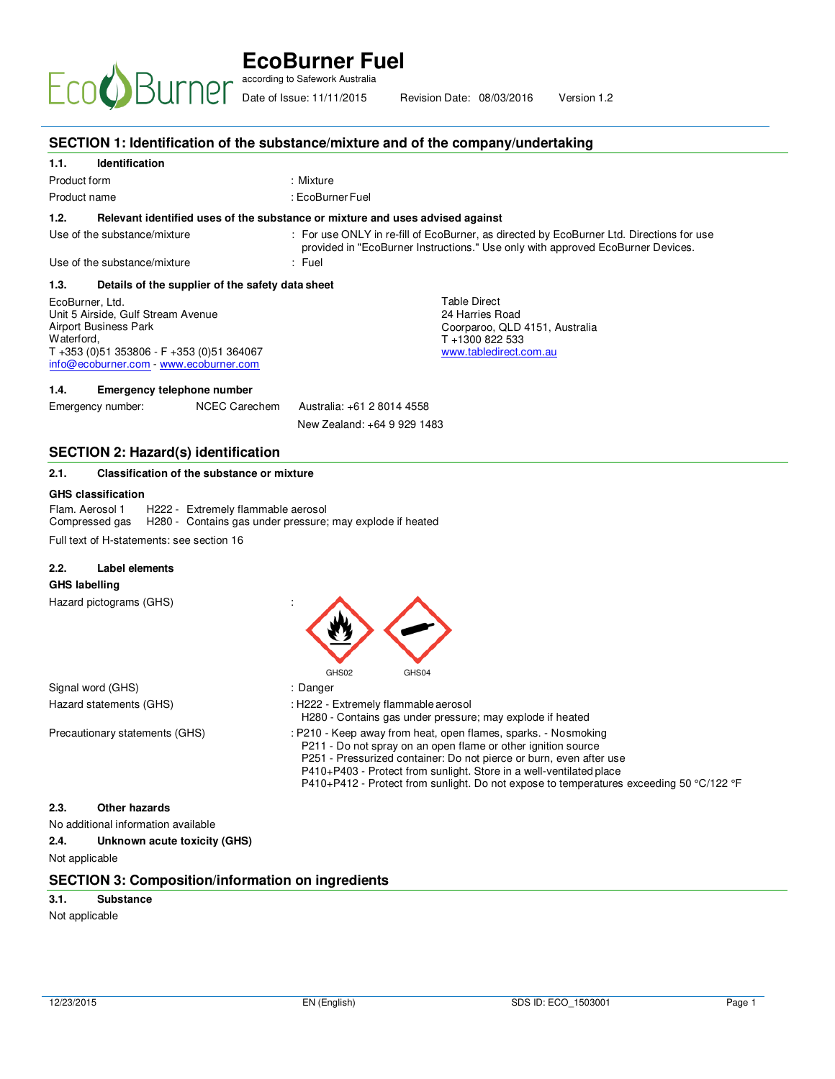# **EcoBurner Fuel**  according to Safework Australia

Date of Issue:  $11/11/2015$  Revision Date:  $0.8/0.3/2016$  Version: Date of Issue: 11/11/2015 Revision Date: 08/03/2016 Version 1.2

|                                                                                                                                                                                               | SECTION 1: Identification of the substance/mixture and of the company/undertaking                                                                                                                                                                                                                                                                                        |
|-----------------------------------------------------------------------------------------------------------------------------------------------------------------------------------------------|--------------------------------------------------------------------------------------------------------------------------------------------------------------------------------------------------------------------------------------------------------------------------------------------------------------------------------------------------------------------------|
| <b>Identification</b><br>1.1.                                                                                                                                                                 |                                                                                                                                                                                                                                                                                                                                                                          |
| Product form                                                                                                                                                                                  | : Mixture                                                                                                                                                                                                                                                                                                                                                                |
| Product name                                                                                                                                                                                  | : EcoBurner Fuel                                                                                                                                                                                                                                                                                                                                                         |
| 1.2.                                                                                                                                                                                          | Relevant identified uses of the substance or mixture and uses advised against                                                                                                                                                                                                                                                                                            |
| Use of the substance/mixture                                                                                                                                                                  | : For use ONLY in re-fill of EcoBurner, as directed by EcoBurner Ltd. Directions for use<br>provided in "EcoBurner Instructions." Use only with approved EcoBurner Devices.                                                                                                                                                                                              |
| Use of the substance/mixture                                                                                                                                                                  | : Fuel                                                                                                                                                                                                                                                                                                                                                                   |
| 1.3.<br>Details of the supplier of the safety data sheet                                                                                                                                      |                                                                                                                                                                                                                                                                                                                                                                          |
| EcoBurner, Ltd.<br>Unit 5 Airside, Gulf Stream Avenue<br><b>Airport Business Park</b><br>Waterford,<br>$T + 353$ (0)51 353806 - F +353 (0)51 364067<br>info@ecoburner.com - www.ecoburner.com | <b>Table Direct</b><br>24 Harries Road<br>Coorparoo, QLD 4151, Australia<br>T+1300 822 533<br>www.tabledirect.com.au                                                                                                                                                                                                                                                     |
| 1.4.<br><b>Emergency telephone number</b>                                                                                                                                                     |                                                                                                                                                                                                                                                                                                                                                                          |
| Emergency number:<br><b>NCEC Carechem</b>                                                                                                                                                     | Australia: +61 2 8014 4558                                                                                                                                                                                                                                                                                                                                               |
|                                                                                                                                                                                               | New Zealand: +64 9 929 1483                                                                                                                                                                                                                                                                                                                                              |
|                                                                                                                                                                                               |                                                                                                                                                                                                                                                                                                                                                                          |
| <b>SECTION 2: Hazard(s) identification</b><br>Classification of the substance or mixture<br>2.1.                                                                                              |                                                                                                                                                                                                                                                                                                                                                                          |
| <b>GHS classification</b><br>Flam. Aerosol 1<br>H222 - Extremely flammable aerosol<br>Compressed gas<br>Full text of H-statements: see section 16<br><b>Label elements</b><br>2.2.            | H280 - Contains gas under pressure; may explode if heated                                                                                                                                                                                                                                                                                                                |
| <b>GHS labelling</b><br>Hazard pictograms (GHS)                                                                                                                                               | GHS02<br>GHS04                                                                                                                                                                                                                                                                                                                                                           |
| Signal word (GHS)                                                                                                                                                                             | : Danger                                                                                                                                                                                                                                                                                                                                                                 |
| Hazard statements (GHS)                                                                                                                                                                       | : H222 - Extremely flammable aerosol<br>H280 - Contains gas under pressure; may explode if heated                                                                                                                                                                                                                                                                        |
| Precautionary statements (GHS)                                                                                                                                                                | : P210 - Keep away from heat, open flames, sparks. - Nosmoking<br>P211 - Do not spray on an open flame or other ignition source<br>P251 - Pressurized container: Do not pierce or burn, even after use<br>P410+P403 - Protect from sunlight. Store in a well-ventilated place<br>P410+P412 - Protect from sunlight. Do not expose to temperatures exceeding 50 °C/122 °F |
| 2.3.<br><b>Other hazards</b>                                                                                                                                                                  |                                                                                                                                                                                                                                                                                                                                                                          |
| No additional information available                                                                                                                                                           |                                                                                                                                                                                                                                                                                                                                                                          |
| 2.4.<br>Unknown acute toxicity (GHS)                                                                                                                                                          |                                                                                                                                                                                                                                                                                                                                                                          |
| Not applicable                                                                                                                                                                                |                                                                                                                                                                                                                                                                                                                                                                          |
| <b>SECTION 3: Composition/information on ingredients</b>                                                                                                                                      |                                                                                                                                                                                                                                                                                                                                                                          |
| 3.1.<br><b>Substance</b>                                                                                                                                                                      |                                                                                                                                                                                                                                                                                                                                                                          |
| Not applicable                                                                                                                                                                                |                                                                                                                                                                                                                                                                                                                                                                          |
|                                                                                                                                                                                               |                                                                                                                                                                                                                                                                                                                                                                          |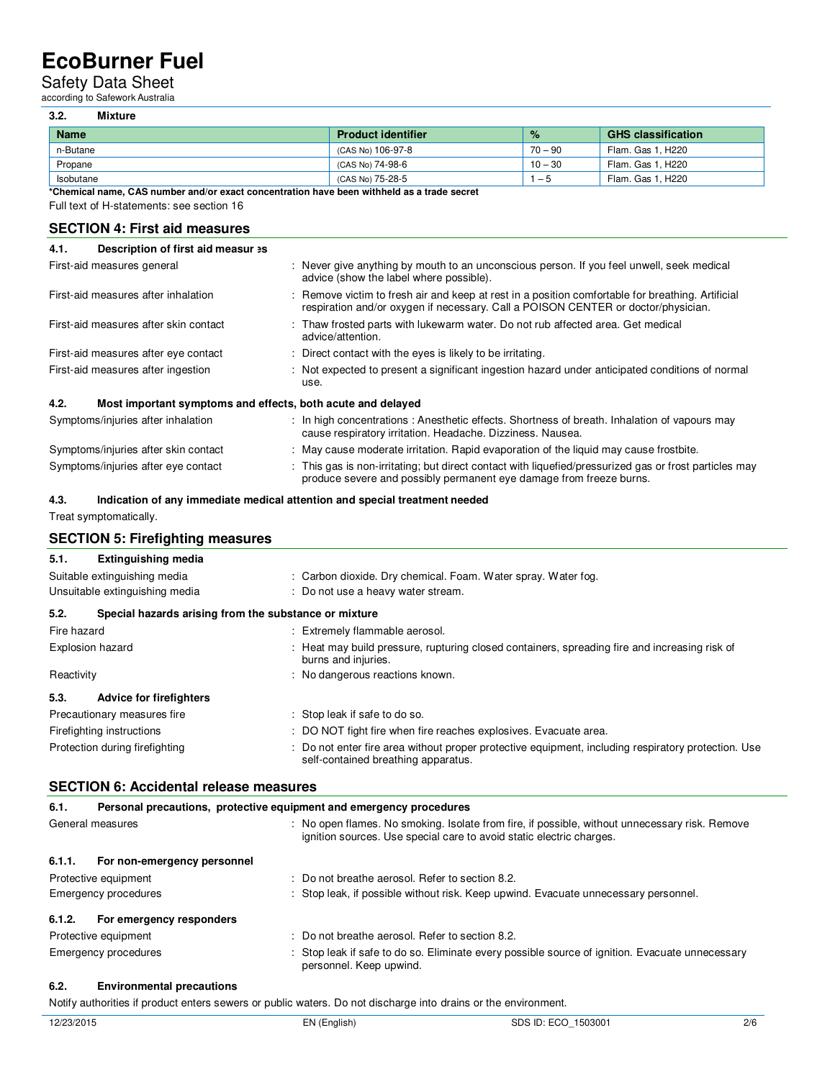### Safety Data Sheet

according to Safework Australia

#### **3.2. Mixture**

| <b>Name</b> | <b>Product identifier</b> | $\frac{9}{6}$ | <b>GHS classification</b> |
|-------------|---------------------------|---------------|---------------------------|
| n-Butane    | (CAS No) 106-97-8         | $70 - 90$     | Flam. Gas 1. H220         |
| Propane     | (CAS No) 74-98-6          | $10 - 30$     | Flam. Gas 1, H220         |
| Isobutane   | (CAS No) 75-28-5          | . – ი         | Flam. Gas 1. H220         |

**\*Chemical name, CAS number and/or exact concentration have been withheld as a trade secret**  Full text of H-statements: see section 16

#### **SECTION 4: First aid measures**

| Description of first aid measur >s<br>4.1.                          |                                                                                                                                                                                        |
|---------------------------------------------------------------------|----------------------------------------------------------------------------------------------------------------------------------------------------------------------------------------|
| First-aid measures general                                          | : Never give anything by mouth to an unconscious person. If you feel unwell, seek medical<br>advice (show the label where possible).                                                   |
| First-aid measures after inhalation                                 | : Remove victim to fresh air and keep at rest in a position comfortable for breathing. Artificial<br>respiration and/or oxygen if necessary. Call a POISON CENTER or doctor/physician. |
| First-aid measures after skin contact                               | : Thaw frosted parts with lukewarm water. Do not rub affected area. Get medical<br>advice/attention.                                                                                   |
| First-aid measures after eye contact                                | : Direct contact with the eyes is likely to be irritating.                                                                                                                             |
| First-aid measures after ingestion                                  | : Not expected to present a significant ingestion hazard under anticipated conditions of normal<br>use.                                                                                |
| 4.2.<br>Most important symptoms and effects, both acute and delayed |                                                                                                                                                                                        |
| Symptoms/injuries after inhalation                                  | : In high concentrations: Anesthetic effects. Shortness of breath. Inhalation of vapours may<br>cause respiratory irritation. Headache. Dizziness. Nausea.                             |
| Symptoms/injuries after skin contact                                | : May cause moderate irritation. Rapid evaporation of the liquid may cause frostbite.                                                                                                  |
| Symptoms/injuries after eye contact                                 | : This gas is non-irritating; but direct contact with liquefied/pressurized gas or frost particles may<br>produce severe and possibly permanent eye damage from freeze burns.          |

#### **4.3. Indication of any immediate medical attention and special treatment needed**

Treat symptomatically.

|  | <b>SECTION 5: Firefighting measures</b> |  |
|--|-----------------------------------------|--|
|--|-----------------------------------------|--|

#### **5.1. Extinguishing media**

|             | Suitable extinguishing media                          | : Carbon dioxide. Dry chemical. Foam. Water spray. Water fog.                                                                              |
|-------------|-------------------------------------------------------|--------------------------------------------------------------------------------------------------------------------------------------------|
|             | Unsuitable extinguishing media                        | : Do not use a heavy water stream.                                                                                                         |
| 5.2.        | Special hazards arising from the substance or mixture |                                                                                                                                            |
| Fire hazard |                                                       | : Extremely flammable aerosol.                                                                                                             |
|             | <b>Explosion hazard</b>                               | : Heat may build pressure, rupturing closed containers, spreading fire and increasing risk of<br>burns and injuries.                       |
| Reactivity  |                                                       | : No dangerous reactions known.                                                                                                            |
| 5.3.        | <b>Advice for firefighters</b>                        |                                                                                                                                            |
|             | Precautionary measures fire                           | : Stop leak if safe to do so.                                                                                                              |
|             | Firefighting instructions                             | : DO NOT fight fire when fire reaches explosives. Evacuate area.                                                                           |
|             | Protection during firefighting                        | : Do not enter fire area without proper protective equipment, including respiratory protection. Use<br>self-contained breathing apparatus. |

#### **SECTION 6: Accidental release measures**

| 6.1.             | Personal precautions, protective equipment and emergency procedures |  |                                                                                                                                                                        |
|------------------|---------------------------------------------------------------------|--|------------------------------------------------------------------------------------------------------------------------------------------------------------------------|
| General measures |                                                                     |  | : No open flames. No smoking. Isolate from fire, if possible, without unnecessary risk. Remove<br>ignition sources. Use special care to avoid static electric charges. |
| 6.1.1.           | For non-emergency personnel                                         |  |                                                                                                                                                                        |
|                  | Protective equipment                                                |  | : Do not breathe aerosol. Refer to section 8.2.                                                                                                                        |
|                  | Emergency procedures                                                |  | : Stop leak, if possible without risk. Keep upwind. Evacuate unnecessary personnel.                                                                                    |
| 6.1.2.           | For emergency responders                                            |  |                                                                                                                                                                        |
|                  | Protective equipment                                                |  | : Do not breathe aerosol. Refer to section 8.2.                                                                                                                        |
|                  | Emergency procedures                                                |  | : Stop leak if safe to do so. Eliminate every possible source of ignition. Evacuate unnecessary<br>personnel. Keep upwind.                                             |

#### **6.2. Environmental precautions**

Notify authorities if product enters sewers or public waters. Do not discharge into drains or the environment.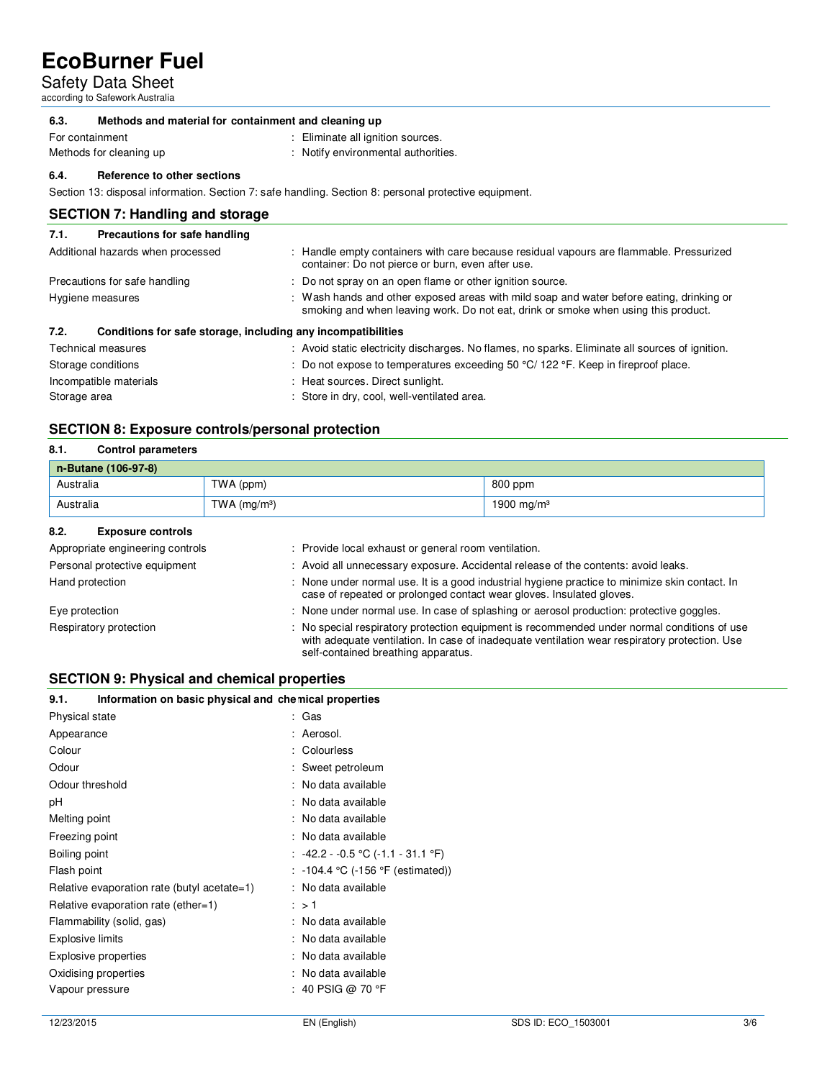Safety Data Sheet

according to Safework Australia

#### **6.3. Methods and material for containment and cleaning up**

For containment<br>Methods for cleaning up

- : Eliminate all ignition sources.
- : Notify environmental authorities.
	-

**6.4. Reference to other sections** 

Section 13: disposal information. Section 7: safe handling. Section 8: personal protective equipment.

#### **SECTION 7: Handling and storage**

#### **7.1. Precautions for safe handling**  Additional hazards when processed : Handle empty containers with care because residual vapours are flammable. Pressurized

| Auditional nazarus when processed                                    | . Trandle empty containers with care because residual vapours are naminable. Fressurized<br>container: Do not pierce or burn, even after use.                                  |
|----------------------------------------------------------------------|--------------------------------------------------------------------------------------------------------------------------------------------------------------------------------|
| Precautions for safe handling                                        | : Do not spray on an open flame or other ignition source.                                                                                                                      |
| Hygiene measures                                                     | : Wash hands and other exposed areas with mild soap and water before eating, drinking or<br>smoking and when leaving work. Do not eat, drink or smoke when using this product. |
| Conditions for safe storage, including any incompatibilities<br>7.2. |                                                                                                                                                                                |
| Technical measures                                                   | : Avoid static electricity discharges. No flames, no sparks. Eliminate all sources of ignition.                                                                                |
| Storage conditions                                                   | : Do not expose to temperatures exceeding 50 $\degree$ C/ 122 $\degree$ F. Keep in fireproof place.                                                                            |
| Incompatible materials                                               | : Heat sources. Direct sunlight.                                                                                                                                               |
|                                                                      |                                                                                                                                                                                |

Storage area : Store in dry, cool, well-ventilated area.

#### **SECTION 8: Exposure controls/personal protection**

#### **8.1. Control parameters**

| n-Butane (106-97-8) |               |                        |
|---------------------|---------------|------------------------|
| Australia           | TWA (ppm)     | 800 ppm                |
| Australia           | TWA $(mg/m3)$ | 1900 mg/m <sup>3</sup> |

#### **8.2. Exposure controls**

| Appropriate engineering controls | : Provide local exhaust or general room ventilation.                                                                                                                                                                                |
|----------------------------------|-------------------------------------------------------------------------------------------------------------------------------------------------------------------------------------------------------------------------------------|
| Personal protective equipment    | : Avoid all unnecessary exposure. Accidental release of the contents: avoid leaks.                                                                                                                                                  |
| Hand protection                  | : None under normal use. It is a good industrial hygiene practice to minimize skin contact. In<br>case of repeated or prolonged contact wear gloves. Insulated gloves.                                                              |
| Eye protection                   | : None under normal use. In case of splashing or aerosol production: protective goggles.                                                                                                                                            |
| Respiratory protection           | : No special respiratory protection equipment is recommended under normal conditions of use<br>with adequate ventilation. In case of inadequate ventilation wear respiratory protection. Use<br>self-contained breathing apparatus. |

#### **SECTION 9: Physical and chemical properties**

| Information on basic physical and chemical properties<br>9.1. |                                   |
|---------------------------------------------------------------|-----------------------------------|
| Physical state                                                | : Gas                             |
| Appearance                                                    | : Aerosol.                        |
| Colour                                                        | : Colourless                      |
| Odour                                                         | : Sweet petroleum                 |
| Odour threshold                                               | : No data available               |
| рH                                                            | : No data available               |
| Melting point                                                 | : No data available               |
| Freezing point                                                | : No data available               |
| Boiling point                                                 | : -42.2 - -0.5 ℃ (-1.1 - 31.1 °F) |
| Flash point                                                   | : -104.4 °C (-156 °F (estimated)) |
| Relative evaporation rate (butyl acetate=1)                   | : No data available               |
| Relative evaporation rate (ether=1)                           | : > 1                             |
| Flammability (solid, gas)                                     | : No data available               |
| <b>Explosive limits</b>                                       | : No data available               |
| Explosive properties                                          | : No data available               |
| Oxidising properties                                          | : No data available               |
| Vapour pressure                                               | : 40 PSIG @ 70 °F                 |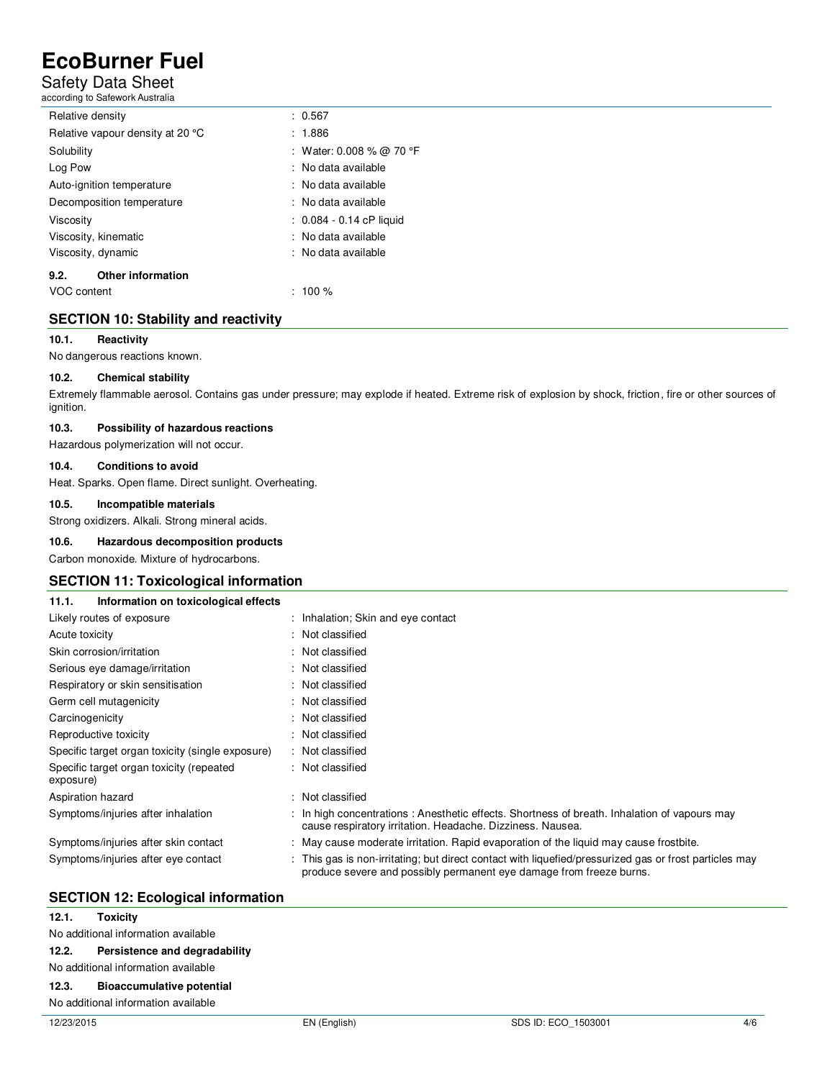### Safety Data Sheet

according to Safework Australia

| Relative density                 | : 0.567                    |
|----------------------------------|----------------------------|
| Relative vapour density at 20 °C | : 1.886                    |
| Solubility                       | : Water: 0.008 % @ 70 °F   |
| Log Pow                          | : No data available        |
| Auto-ignition temperature        | : No data available        |
| Decomposition temperature        | : No data available        |
| Viscosity                        | $: 0.084 - 0.14$ cP liquid |
| Viscosity, kinematic             | : No data available        |
| Viscosity, dynamic               | : No data available        |
| <b>Other information</b><br>9.2. |                            |
| VOC content                      | $: 100 \%$                 |

#### **SECTION 10: Stability and reactivity**

#### **10.1. Reactivity**

No dangerous reactions known.

#### **10.2. Chemical stability**

Extremely flammable aerosol. Contains gas under pressure; may explode if heated. Extreme risk of explosion by shock, friction, fire or other sources of ignition.

#### **10.3. Possibility of hazardous reactions**

Hazardous polymerization will not occur.

#### **10.4. Conditions to avoid**

Heat. Sparks. Open flame. Direct sunlight. Overheating.

#### **10.5. Incompatible materials**

Strong oxidizers. Alkali. Strong mineral acids.

#### **10.6. Hazardous decomposition products**

Carbon monoxide. Mixture of hydrocarbons.

#### **SECTION 11: Toxicological information**

| Information on toxicological effects<br>11.1.         |                                                                                                                                                                               |
|-------------------------------------------------------|-------------------------------------------------------------------------------------------------------------------------------------------------------------------------------|
| Likely routes of exposure                             | : Inhalation; Skin and eye contact                                                                                                                                            |
| Acute toxicity                                        | : Not classified                                                                                                                                                              |
| Skin corrosion/irritation                             | : Not classified                                                                                                                                                              |
| Serious eye damage/irritation                         | : Not classified                                                                                                                                                              |
| Respiratory or skin sensitisation                     | : Not classified                                                                                                                                                              |
| Germ cell mutagenicity                                | : Not classified                                                                                                                                                              |
| Carcinogenicity                                       | : Not classified                                                                                                                                                              |
| Reproductive toxicity                                 | : Not classified                                                                                                                                                              |
| Specific target organ toxicity (single exposure)      | : Not classified                                                                                                                                                              |
| Specific target organ toxicity (repeated<br>exposure) | : Not classified                                                                                                                                                              |
| Aspiration hazard                                     | : Not classified                                                                                                                                                              |
| Symptoms/injuries after inhalation                    | : In high concentrations: Anesthetic effects. Shortness of breath. Inhalation of vapours may<br>cause respiratory irritation. Headache. Dizziness. Nausea.                    |
| Symptoms/injuries after skin contact                  | : May cause moderate irritation. Rapid evaporation of the liquid may cause frostbite.                                                                                         |
| Symptoms/injuries after eye contact                   | : This gas is non-irritating; but direct contact with liquefied/pressurized gas or frost particles may<br>produce severe and possibly permanent eye damage from freeze burns. |

#### **SECTION 12: Ecological information**

### **12.3. Bioaccumulative potential**

No additional information available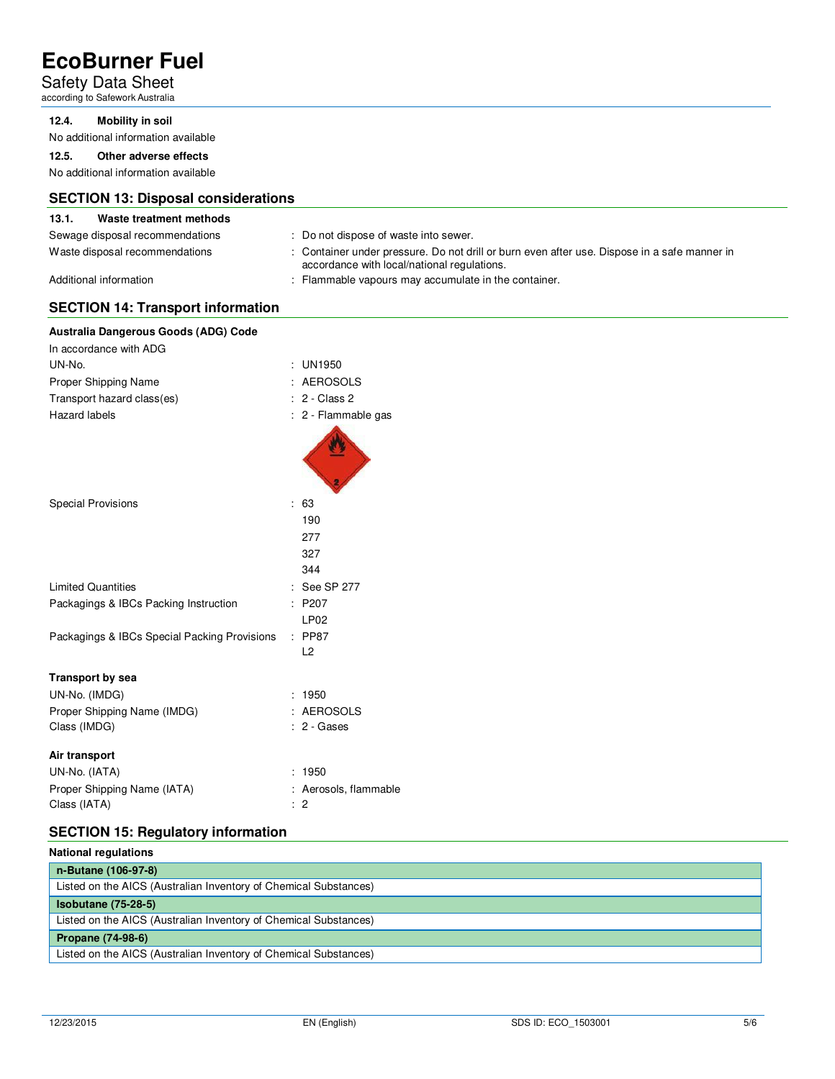### Safety Data Sheet

according to Safework Australia

#### **12.4. Mobility in soil**

No additional information available

#### **12.5. Other adverse effects**

No additional information available

#### **SECTION 13: Disposal considerations**

#### **13.1. Waste treatment methods**

- Sewage disposal recommendations : Do not dispose of waste into sewer.
- 
- 
- Waste disposal recommendations : Container under pressure. Do not drill or burn even after use. Dispose in a safe manner in accordance with local/national regulations.

Additional information **interval in the container.** : Flammable vapours may accumulate in the container.

#### **SECTION 14: Transport information**

| Australia Dangerous Goods (ADG) Code         |                       |
|----------------------------------------------|-----------------------|
| In accordance with ADG                       |                       |
| UN-No.                                       | : UN1950              |
| Proper Shipping Name                         | : AEROSOLS            |
| Transport hazard class(es)                   | : 2 - Class 2         |
| Hazard labels                                | : 2 - Flammable gas   |
|                                              |                       |
| <b>Special Provisions</b>                    | : 63                  |
|                                              | 190                   |
|                                              | 277                   |
|                                              | 327                   |
|                                              | 344                   |
| <b>Limited Quantities</b>                    | : See SP 277          |
| Packagings & IBCs Packing Instruction        | : P207                |
|                                              | LP <sub>02</sub>      |
| Packagings & IBCs Special Packing Provisions | : PP87                |
|                                              | L2                    |
| <b>Transport by sea</b>                      |                       |
| UN-No. (IMDG)                                | : 1950                |
| Proper Shipping Name (IMDG)                  | : AEROSOLS            |
| Class (IMDG)                                 | $: 2 - \text{Gases}$  |
| Air transport                                |                       |
| UN-No. (IATA)                                | : 1950                |
| Proper Shipping Name (IATA)                  | : Aerosols, flammable |
| Class (IATA)                                 | $\therefore$ 2        |
|                                              |                       |

### **SECTION 15: Regulatory information**

| <b>National regulations</b>                                      |  |  |
|------------------------------------------------------------------|--|--|
| n-Butane (106-97-8)                                              |  |  |
| Listed on the AICS (Australian Inventory of Chemical Substances) |  |  |
| $Isobutane (75-28-5)$                                            |  |  |
| Listed on the AICS (Australian Inventory of Chemical Substances) |  |  |
| <b>Propane (74-98-6)</b>                                         |  |  |
| Listed on the AICS (Australian Inventory of Chemical Substances) |  |  |